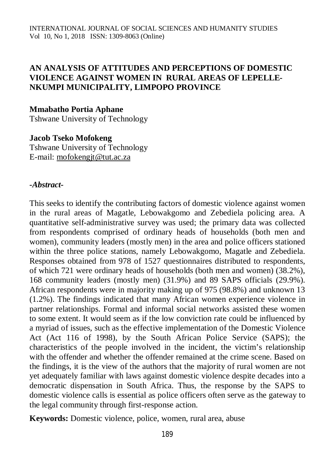### **AN ANALYSIS OF ATTITUDES AND PERCEPTIONS OF DOMESTIC VIOLENCE AGAINST WOMEN IN RURAL AREAS OF LEPELLE-NKUMPI MUNICIPALITY, LIMPOPO PROVINCE**

#### **Mmabatho Portia Aphane**

Tshwane University of Technology

# **Jacob Tseko Mofokeng**

Tshwane University of Technology E-mail: [mofokengjt@tut.ac.za](mailto:mofokengjt@tut.ac.za)

#### *-Abstract-*

This seeks to identify the contributing factors of domestic violence against women in the rural areas of Magatle, Lebowakgomo and Zebediela policing area. A quantitative self-administrative survey was used; the primary data was collected from respondents comprised of ordinary heads of households (both men and women), community leaders (mostly men) in the area and police officers stationed within the three police stations, namely Lebowakgomo, Magatle and Zebediela. Responses obtained from 978 of 1527 questionnaires distributed to respondents, of which 721 were ordinary heads of households (both men and women) (38.2%), 168 community leaders (mostly men) (31.9%) and 89 SAPS officials (29.9%). African respondents were in majority making up of 975 (98.8%) and unknown 13 (1.2%). The findings indicated that many African women experience violence in partner relationships. Formal and informal social networks assisted these women to some extent. It would seem as if the low conviction rate could be influenced by a myriad of issues, such as the effective implementation of the Domestic Violence Act (Act 116 of 1998), by the South African Police Service (SAPS); the characteristics of the people involved in the incident, the victim's relationship with the offender and whether the offender remained at the crime scene. Based on the findings, it is the view of the authors that the majority of rural women are not yet adequately familiar with laws against domestic violence despite decades into a democratic dispensation in South Africa. Thus, the response by the SAPS to domestic violence calls is essential as police officers often serve as the gateway to the legal community through first-response action.

**Keywords:** Domestic violence, police, women, rural area, abuse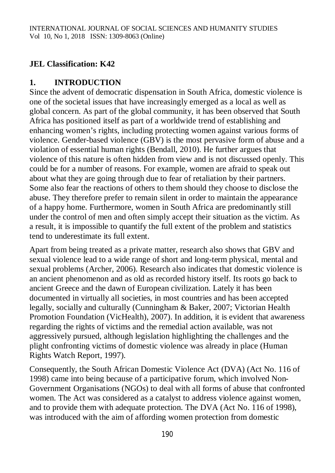# **JEL Classification: K42**

# **1. INTRODUCTION**

Since the advent of democratic dispensation in South Africa, domestic violence is one of the societal issues that have increasingly emerged as a local as well as global concern. As part of the global community, it has been observed that South Africa has positioned itself as part of a worldwide trend of establishing and enhancing women's rights, including protecting women against various forms of violence. Gender-based violence (GBV) is the most pervasive form of abuse and a violation of essential human rights (Bendall, 2010). He further argues that violence of this nature is often hidden from view and is not discussed openly. This could be for a number of reasons. For example, women are afraid to speak out about what they are going through due to fear of retaliation by their partners. Some also fear the reactions of others to them should they choose to disclose the abuse. They therefore prefer to remain silent in order to maintain the appearance of a happy home. Furthermore, women in South Africa are predominantly still under the control of men and often simply accept their situation as the victim. As a result, it is impossible to quantify the full extent of the problem and statistics tend to underestimate its full extent.

Apart from being treated as a private matter, research also shows that GBV and sexual violence lead to a wide range of short and long-term physical, mental and sexual problems (Archer, 2006). Research also indicates that domestic violence is an ancient phenomenon and as old as recorded history itself. Its roots go back to ancient Greece and the dawn of European civilization. Lately it has been documented in virtually all societies, in most countries and has been accepted legally, socially and culturally (Cunningham & Baker, 2007; Victorian Health Promotion Foundation (VicHealth), 2007). In addition, it is evident that awareness regarding the rights of victims and the remedial action available, was not aggressively pursued, although legislation highlighting the challenges and the plight confronting victims of domestic violence was already in place (Human Rights Watch Report, 1997).

Consequently, the South African Domestic Violence Act (DVA) (Act No. 116 of 1998) came into being because of a participative forum, which involved Non-Government Organisations (NGOs) to deal with all forms of abuse that confronted women. The Act was considered as a catalyst to address violence against women, and to provide them with adequate protection. The DVA (Act No. 116 of 1998), was introduced with the aim of affording women protection from domestic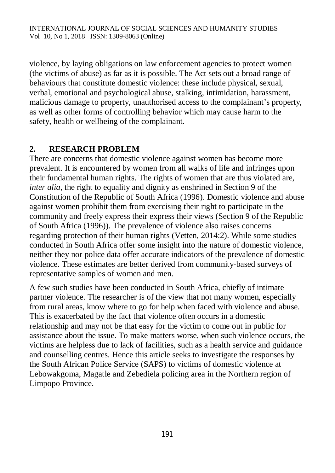violence, by laying obligations on law enforcement agencies to protect women (the victims of abuse) as far as it is possible. The Act sets out a broad range of behaviours that constitute domestic violence: these include physical, sexual, verbal, emotional and psychological abuse, stalking, intimidation, harassment, malicious damage to property, unauthorised access to the complainant's property, as well as other forms of controlling behavior which may cause harm to the safety, health or wellbeing of the complainant.

# **2. RESEARCH PROBLEM**

There are concerns that domestic violence against women has become more prevalent. It is encountered by women from all walks of life and infringes upon their fundamental human rights. The rights of women that are thus violated are, *inter alia*, the right to equality and dignity as enshrined in Section 9 of the Constitution of the Republic of South Africa (1996). Domestic violence and abuse against women prohibit them from exercising their right to participate in the community and freely express their express their views (Section 9 of the Republic of South Africa (1996)). The prevalence of violence also raises concerns regarding protection of their human rights (Vetten, 2014:2). While some studies conducted in South Africa offer some insight into the nature of domestic violence, neither they nor police data offer accurate indicators of the prevalence of domestic violence. These estimates are better derived from community-based surveys of representative samples of women and men.

A few such studies have been conducted in South Africa, chiefly of intimate partner violence. The researcher is of the view that not many women, especially from rural areas, know where to go for help when faced with violence and abuse. This is exacerbated by the fact that violence often occurs in a domestic relationship and may not be that easy for the victim to come out in public for assistance about the issue. To make matters worse, when such violence occurs, the victims are helpless due to lack of facilities, such as a health service and guidance and counselling centres. Hence this article seeks to investigate the responses by the South African Police Service (SAPS) to victims of domestic violence at Lebowakgoma, Magatle and Zebediela policing area in the Northern region of Limpopo Province.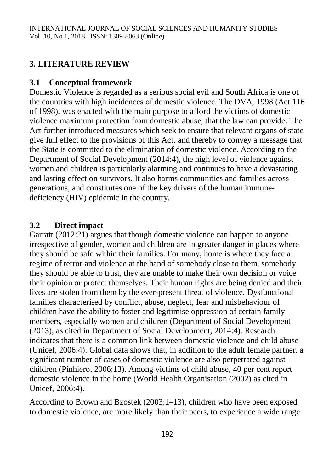# **3. LITERATURE REVIEW**

### **3.1 Conceptual framework**

Domestic Violence is regarded as a serious social evil and South Africa is one of the countries with high incidences of domestic violence. The DVA, 1998 (Act 116 of 1998), was enacted with the main purpose to afford the victims of domestic violence maximum protection from domestic abuse, that the law can provide. The Act further introduced measures which seek to ensure that relevant organs of state give full effect to the provisions of this Act, and thereby to convey a message that the State is committed to the elimination of domestic violence. According to the Department of Social Development (2014:4), the high level of violence against women and children is particularly alarming and continues to have a devastating and lasting effect on survivors. It also harms communities and families across generations, and constitutes one of the key drivers of the human immunedeficiency (HIV) epidemic in the country.

# **3.2 Direct impact**

Garratt (2012:21) argues that though domestic violence can happen to anyone irrespective of gender, women and children are in greater danger in places where they should be safe within their families. For many, home is where they face a regime of terror and violence at the hand of somebody close to them, somebody they should be able to trust, they are unable to make their own decision or voice their opinion or protect themselves. Their human rights are being denied and their lives are stolen from them by the ever-present threat of violence. Dysfunctional families characterised by conflict, abuse, neglect, fear and misbehaviour of children have the ability to foster and legitimise oppression of certain family members, especially women and children (Department of Social Development (2013), as cited in Department of Social Development, 2014:4). Research indicates that there is a common link between domestic violence and child abuse (Unicef, 2006:4). Global data shows that, in addition to the adult female partner, a significant number of cases of domestic violence are also perpetrated against children (Pinhiero, 2006:13). Among victims of child abuse, 40 per cent report domestic violence in the home (World Health Organisation (2002) as cited in Unicef, 2006:4).

According to Brown and Bzostek (2003:1–13), children who have been exposed to domestic violence, are more likely than their peers, to experience a wide range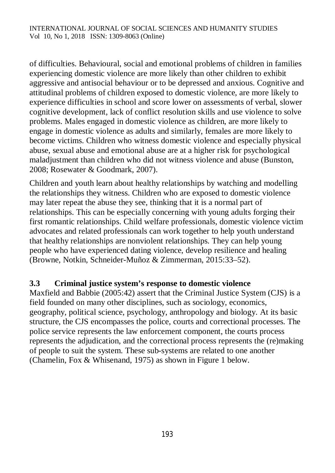of difficulties. Behavioural, social and emotional problems of children in families experiencing domestic violence are more likely than other children to exhibit aggressive and antisocial behaviour or to be depressed and anxious. Cognitive and attitudinal problems of children exposed to domestic violence, are more likely to experience difficulties in school and score lower on assessments of verbal, slower cognitive development, lack of conflict resolution skills and use violence to solve problems. Males engaged in domestic violence as children, are more likely to engage in domestic violence as adults and similarly, females are more likely to become victims. Children who witness domestic violence and especially physical abuse, sexual abuse and emotional abuse are at a higher risk for psychological maladjustment than children who did not witness violence and abuse (Bunston, 2008; Rosewater & Goodmark, 2007).

Children and youth learn about healthy relationships by watching and modelling the relationships they witness. Children who are exposed to domestic violence may later repeat the abuse they see, thinking that it is a normal part of relationships. This can be especially concerning with young adults forging their first romantic relationships. Child welfare professionals, domestic violence victim advocates and related professionals can work together to help youth understand that healthy relationships are nonviolent relationships. They can help young people who have experienced dating violence, develop resilience and healing (Browne, Notkin, Schneider-Muñoz & Zimmerman, 2015:33–52).

# **3.3 Criminal justice system's response to domestic violence**

Maxfield and Babbie (2005:42) assert that the Criminal Justice System (CJS) is a field founded on many other disciplines, such as sociology, economics, geography, political science, psychology, anthropology and biology. At its basic structure, the CJS encompasses the police, courts and correctional processes. The police service represents the law enforcement component, the courts process represents the adjudication, and the correctional process represents the (re)making of people to suit the system. These sub-systems are related to one another (Chamelin, Fox & Whisenand, 1975) as shown in Figure 1 below.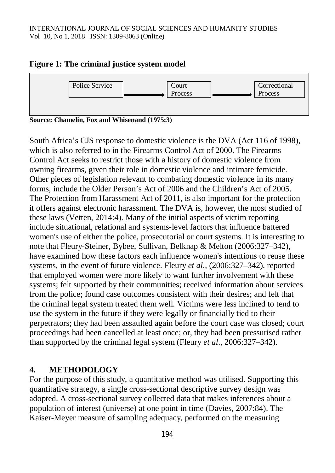

#### **Figure 1: The criminal justice system model**

**Source: Chamelin, Fox and Whisenand (1975:3)**

South Africa's CJS response to domestic violence is the DVA (Act 116 of 1998), which is also referred to in the Firearms Control Act of 2000. The Firearms Control Act seeks to restrict those with a history of domestic violence from owning firearms, given their role in domestic violence and intimate femicide. Other pieces of legislation relevant to combating domestic violence in its many forms, include the Older Person's Act of 2006 and the Children's Act of 2005. The Protection from Harassment Act of 2011, is also important for the protection it offers against electronic harassment. The DVA is, however, the most studied of these laws (Vetten, 2014:4). Many of the initial aspects of victim reporting include situational, relational and systems-level factors that influence battered women's use of either the police, prosecutorial or court systems. It is interesting to note that Fleury-Steiner, Bybee, Sullivan, Belknap & Melton (2006:327–342), have examined how these factors each influence women's intentions to reuse these systems, in the event of future violence. Fleury *et al.,* (2006:327–342), reported that employed women were more likely to want further involvement with these systems; felt supported by their communities; received information about services from the police; found case outcomes consistent with their desires; and felt that the criminal legal system treated them well. Victims were less inclined to tend to use the system in the future if they were legally or financially tied to their perpetrators; they had been assaulted again before the court case was closed; court proceedings had been cancelled at least once; or, they had been pressurised rather than supported by the criminal legal system (Fleury *et al*., 2006:327–342).

#### **4. METHODOLOGY**

For the purpose of this study, a quantitative method was utilised. Supporting this quantitative strategy, a single cross-sectional descriptive survey design was adopted. A cross-sectional survey collected data that makes inferences about a population of interest (universe) at one point in time (Davies, 2007:84). The Kaiser-Meyer measure of sampling adequacy, performed on the measuring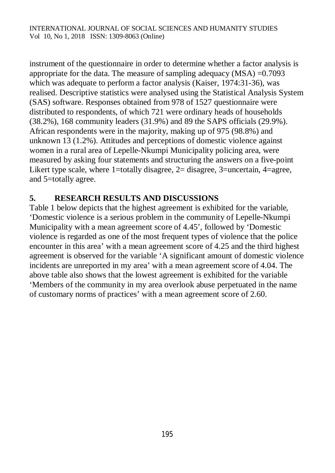instrument of the questionnaire in order to determine whether a factor analysis is appropriate for the data. The measure of sampling adequacy (MSA) =0.7093 which was adequate to perform a factor analysis (Kaiser, 1974:31-36), was realised. Descriptive statistics were analysed using the Statistical Analysis System (SAS) software. Responses obtained from 978 of 1527 questionnaire were distributed to respondents, of which 721 were ordinary heads of households (38.2%), 168 community leaders (31.9%) and 89 the SAPS officials (29.9%). African respondents were in the majority, making up of 975 (98.8%) and unknown 13 (1.2%). Attitudes and perceptions of domestic violence against women in a rural area of Lepelle-Nkumpi Municipality policing area, were measured by asking four statements and structuring the answers on a five-point Likert type scale, where 1=totally disagree, 2= disagree, 3=uncertain, 4=agree, and 5=totally agree.

# **5. RESEARCH RESULTS AND DISCUSSIONS**

Table 1 below depicts that the highest agreement is exhibited for the variable, 'Domestic violence is a serious problem in the community of Lepelle-Nkumpi Municipality with a mean agreement score of 4.45', followed by 'Domestic violence is regarded as one of the most frequent types of violence that the police encounter in this area' with a mean agreement score of 4.25 and the third highest agreement is observed for the variable 'A significant amount of domestic violence incidents are unreported in my area' with a mean agreement score of 4.04. The above table also shows that the lowest agreement is exhibited for the variable 'Members of the community in my area overlook abuse perpetuated in the name of customary norms of practices' with a mean agreement score of 2.60.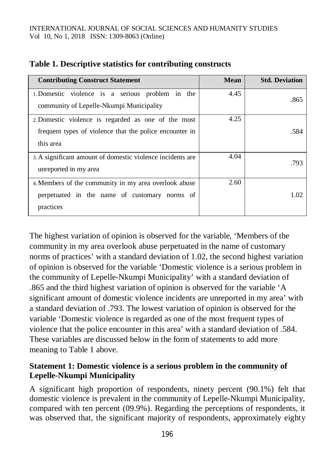#### INTERNATIONAL JOURNAL OF SOCIAL SCIENCES AND HUMANITY STUDIES Vol 10, No 1, 2018 ISSN: 1309-8063 (Online)

| <b>Contributing Construct Statement</b>                                                                                     | Mean | <b>Std. Deviation</b> |
|-----------------------------------------------------------------------------------------------------------------------------|------|-----------------------|
| 1. Domestic violence is a serious problem in the<br>community of Lepelle-Nkumpi Municipality                                | 4.45 | .865                  |
| 2. Domestic violence is regarded as one of the most<br>frequent types of violence that the police encounter in<br>this area | 4.25 | .584                  |
| 3. A significant amount of domestic violence incidents are<br>unreported in my area                                         | 4.04 | .793                  |
| 4. Members of the community in my area overlook abuse<br>perpetuated in the name of customary norms of<br>practices         | 2.60 | 1.02                  |

#### **Table 1. Descriptive statistics for contributing constructs**

The highest variation of opinion is observed for the variable, 'Members of the community in my area overlook abuse perpetuated in the name of customary norms of practices' with a standard deviation of 1.02, the second highest variation of opinion is observed for the variable 'Domestic violence is a serious problem in the community of Lepelle-Nkumpi Municipality' with a standard deviation of .865 and the third highest variation of opinion is observed for the variable 'A significant amount of domestic violence incidents are unreported in my area' with a standard deviation of .793. The lowest variation of opinion is observed for the variable 'Domestic violence is regarded as one of the most frequent types of violence that the police encounter in this area' with a standard deviation of .584. These variables are discussed below in the form of statements to add more meaning to Table 1 above.

### **Statement 1: Domestic violence is a serious problem in the community of Lepelle-Nkumpi Municipality**

A significant high proportion of respondents, ninety percent (90.1%) felt that domestic violence is prevalent in the community of Lepelle-Nkumpi Municipality, compared with ten percent (09.9%). Regarding the perceptions of respondents, it was observed that, the significant majority of respondents, approximately eighty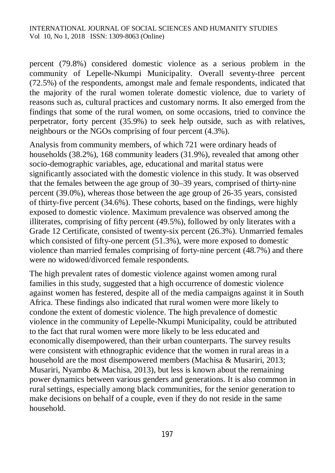percent (79.8%) considered domestic violence as a serious problem in the community of Lepelle-Nkumpi Municipality. Overall seventy-three percent (72.5%) of the respondents, amongst male and female respondents, indicated that the majority of the rural women tolerate domestic violence, due to variety of reasons such as, cultural practices and customary norms. It also emerged from the findings that some of the rural women, on some occasions, tried to convince the perpetrator, forty percent (35.9%) to seek help outside, such as with relatives, neighbours or the NGOs comprising of four percent (4.3%).

Analysis from community members, of which 721 were ordinary heads of households (38.2%), 168 community leaders (31.9%), revealed that among other socio-demographic variables, age, educational and marital status were significantly associated with the domestic violence in this study. It was observed that the females between the age group of 30–39 years, comprised of thirty-nine percent (39.0%), whereas those between the age group of 26-35 years, consisted of thirty-five percent (34.6%). These cohorts, based on the findings, were highly exposed to domestic violence. Maximum prevalence was observed among the illiterates, comprising of fifty percent (49.5%), followed by only literates with a Grade 12 Certificate, consisted of twenty-six percent (26.3%). Unmarried females which consisted of fifty-one percent  $(51.3\%)$ , were more exposed to domestic violence than married females comprising of forty-nine percent (48.7%) and there were no widowed/divorced female respondents.

The high prevalent rates of domestic violence against women among rural families in this study, suggested that a high occurrence of domestic violence against women has festered, despite all of the media campaigns against it in South Africa. These findings also indicated that rural women were more likely to condone the extent of domestic violence. The high prevalence of domestic violence in the community of Lepelle-Nkumpi Municipality, could be attributed to the fact that rural women were more likely to be less educated and economically disempowered, than their urban counterparts. The survey results were consistent with ethnographic evidence that the women in rural areas in a household are the most disempowered members (Machisa & Musariri, 2013; Musariri, Nyambo & Machisa, 2013), but less is known about the remaining power dynamics between various genders and generations. It is also common in rural settings, especially among black communities, for the senior generation to make decisions on behalf of a couple, even if they do not reside in the same household.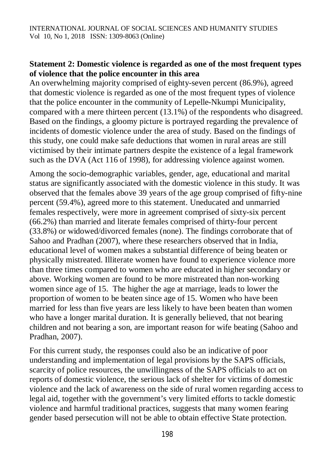### **Statement 2: Domestic violence is regarded as one of the most frequent types of violence that the police encounter in this area**

An overwhelming majority comprised of eighty-seven percent (86.9%), agreed that domestic violence is regarded as one of the most frequent types of violence that the police encounter in the community of Lepelle-Nkumpi Municipality, compared with a mere thirteen percent (13.1%) of the respondents who disagreed. Based on the findings, a gloomy picture is portrayed regarding the prevalence of incidents of domestic violence under the area of study. Based on the findings of this study, one could make safe deductions that women in rural areas are still victimised by their intimate partners despite the existence of a legal framework such as the DVA (Act 116 of 1998), for addressing violence against women.

Among the socio-demographic variables, gender, age, educational and marital status are significantly associated with the domestic violence in this study. It was observed that the females above 39 years of the age group comprised of fifty-nine percent (59.4%), agreed more to this statement. Uneducated and unmarried females respectively, were more in agreement comprised of sixty-six percent (66.2%) than married and literate females comprised of thirty-four percent (33.8%) or widowed/divorced females (none). The findings corroborate that of Sahoo and Pradhan (2007), where these researchers observed that in India, educational level of women makes a substantial difference of being beaten or physically mistreated. Illiterate women have found to experience violence more than three times compared to women who are educated in higher secondary or above. Working women are found to be more mistreated than non-working women since age of 15. The higher the age at marriage, leads to lower the proportion of women to be beaten since age of 15. Women who have been married for less than five years are less likely to have been beaten than women who have a longer marital duration. It is generally believed, that not bearing children and not bearing a son, are important reason for wife beating (Sahoo and Pradhan, 2007).

For this current study, the responses could also be an indicative of poor understanding and implementation of legal provisions by the SAPS officials, scarcity of police resources, the unwillingness of the SAPS officials to act on reports of domestic violence, the serious lack of shelter for victims of domestic violence and the lack of awareness on the side of rural women regarding access to legal aid, together with the government's very limited efforts to tackle domestic violence and harmful traditional practices, suggests that many women fearing gender based persecution will not be able to obtain effective State protection.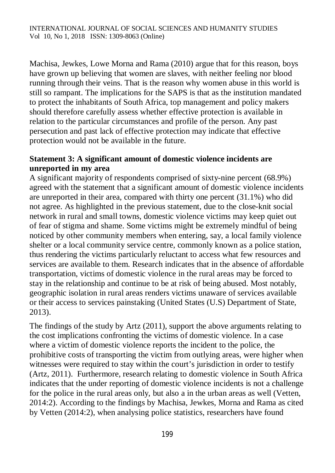Machisa, Jewkes, Lowe Morna and Rama (2010) argue that for this reason, boys have grown up believing that women are slaves, with neither feeling nor blood running through their veins. That is the reason why women abuse in this world is still so rampant. The implications for the SAPS is that as the institution mandated to protect the inhabitants of South Africa, top management and policy makers should therefore carefully assess whether effective protection is available in relation to the particular circumstances and profile of the person. Any past persecution and past lack of effective protection may indicate that effective protection would not be available in the future.

### **Statement 3: A significant amount of domestic violence incidents are unreported in my area**

A significant majority of respondents comprised of sixty-nine percent (68.9%) agreed with the statement that a significant amount of domestic violence incidents are unreported in their area, compared with thirty one percent (31.1%) who did not agree. As highlighted in the previous statement, due to the close-knit social network in rural and small towns, domestic violence victims may keep quiet out of fear of stigma and shame. Some victims might be extremely mindful of being noticed by other community members when entering, say, a local family violence shelter or a local community service centre, commonly known as a police station, thus rendering the victims particularly reluctant to access what few resources and services are available to them. Research indicates that in the absence of affordable transportation, victims of domestic violence in the rural areas may be forced to stay in the relationship and continue to be at risk of being abused. Most notably, geographic isolation in rural areas renders victims unaware of services available or their access to services painstaking (United States (U.S) Department of State, 2013).

The findings of the study by Artz (2011), support the above arguments relating to the cost implications confronting the victims of domestic violence. In a case where a victim of domestic violence reports the incident to the police, the prohibitive costs of transporting the victim from outlying areas, were higher when witnesses were required to stay within the court's jurisdiction in order to testify (Artz, 2011). Furthermore, research relating to domestic violence in South Africa indicates that the under reporting of domestic violence incidents is not a challenge for the police in the rural areas only, but also a in the urban areas as well (Vetten, 2014:2). According to the findings by Machisa, Jewkes, Morna and Rama as cited by Vetten (2014:2), when analysing police statistics, researchers have found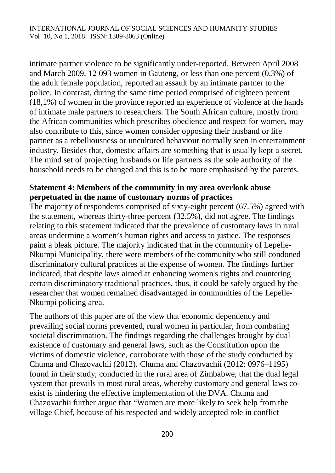intimate partner violence to be significantly under-reported. Between April 2008 and March 2009, 12 093 women in Gauteng, or less than one percent (0,3%) of the adult female population, reported an assault by an intimate partner to the police. In contrast, during the same time period comprised of eighteen percent (18,1%) of women in the province reported an experience of violence at the hands of intimate male partners to researchers. The South African culture, mostly from the African communities which prescribes obedience and respect for women, may also contribute to this, since women consider opposing their husband or life partner as a rebelliousness or uncultured behaviour normally seen in entertainment industry. Besides that, domestic affairs are something that is usually kept a secret. The mind set of projecting husbands or life partners as the sole authority of the household needs to be changed and this is to be more emphasised by the parents.

### **Statement 4: Members of the community in my area overlook abuse perpetuated in the name of customary norms of practices**

The majority of respondents comprised of sixty-eight percent (67.5%) agreed with the statement, whereas thirty-three percent (32.5%), did not agree. The findings relating to this statement indicated that the prevalence of customary laws in rural areas undermine a women's human rights and access to justice. The responses paint a bleak picture. The majority indicated that in the community of Lepelle-Nkumpi Municipality, there were members of the community who still condoned discriminatory cultural practices at the expense of women. The findings further indicated, that despite laws aimed at enhancing women's rights and countering certain discriminatory traditional practices, thus, it could be safely argued by the researcher that women remained disadvantaged in communities of the Lepelle-Nkumpi policing area.

The authors of this paper are of the view that economic dependency and prevailing social norms prevented, rural women in particular, from combating societal discrimination. The findings regarding the challenges brought by dual existence of customary and general laws, such as the Constitution upon the victims of domestic violence, corroborate with those of the study conducted by Chuma and Chazovachii (2012). Chuma and Chazovachii (2012: 0976–1195) found in their study, conducted in the rural area of Zimbabwe, that the dual legal system that prevails in most rural areas, whereby customary and general laws coexist is hindering the effective implementation of the DVA. Chuma and Chazovachii further argue that "Women are more likely to seek help from the village Chief, because of his respected and widely accepted role in conflict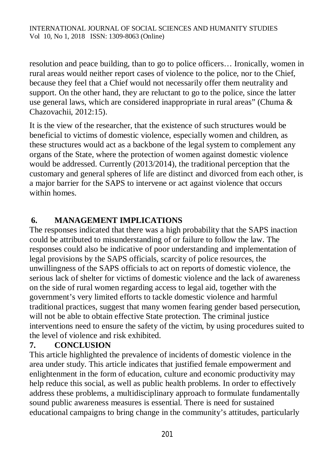resolution and peace building, than to go to police officers… Ironically, women in rural areas would neither report cases of violence to the police, nor to the Chief, because they feel that a Chief would not necessarily offer them neutrality and support. On the other hand, they are reluctant to go to the police, since the latter use general laws, which are considered inappropriate in rural areas" (Chuma & Chazovachii, 2012:15).

It is the view of the researcher, that the existence of such structures would be beneficial to victims of domestic violence, especially women and children, as these structures would act as a backbone of the legal system to complement any organs of the State, where the protection of women against domestic violence would be addressed. Currently (2013/2014), the traditional perception that the customary and general spheres of life are distinct and divorced from each other, is a major barrier for the SAPS to intervene or act against violence that occurs within homes.

# **6. MANAGEMENT IMPLICATIONS**

The responses indicated that there was a high probability that the SAPS inaction could be attributed to misunderstanding of or failure to follow the law. The responses could also be indicative of poor understanding and implementation of legal provisions by the SAPS officials, scarcity of police resources, the unwillingness of the SAPS officials to act on reports of domestic violence, the serious lack of shelter for victims of domestic violence and the lack of awareness on the side of rural women regarding access to legal aid, together with the government's very limited efforts to tackle domestic violence and harmful traditional practices, suggest that many women fearing gender based persecution, will not be able to obtain effective State protection. The criminal justice interventions need to ensure the safety of the victim, by using procedures suited to the level of violence and risk exhibited.

# **7. CONCLUSION**

This article highlighted the prevalence of incidents of domestic violence in the area under study. This article indicates that justified female empowerment and enlightenment in the form of education, culture and economic productivity may help reduce this social, as well as public health problems. In order to effectively address these problems, a multidisciplinary approach to formulate fundamentally sound public awareness measures is essential. There is need for sustained educational campaigns to bring change in the community's attitudes, particularly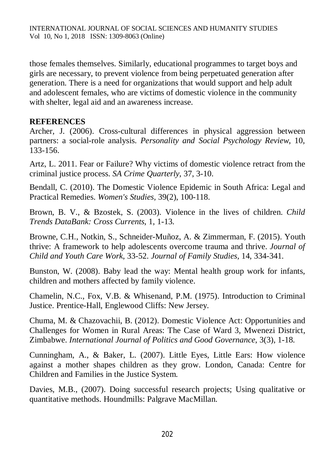those females themselves. Similarly, educational programmes to target boys and girls are necessary, to prevent violence from being perpetuated generation after generation. There is a need for organizations that would support and help adult and adolescent females, who are victims of domestic violence in the community with shelter, legal aid and an awareness increase.

# **REFERENCES**

Archer, J. (2006). Cross-cultural differences in physical aggression between partners: a social-role analysis. *Personality and Social Psychology Review*, 10, 133-156.

Artz, L. 2011. Fear or Failure? Why victims of domestic violence retract from the criminal justice process. *SA Crime Quarterly*, 37, 3-10.

Bendall, C. (2010). The Domestic Violence Epidemic in South Africa: Legal and Practical Remedies. *Women's Studies,* 39(2), 100-118.

Brown, B. V., & Bzostek, S. (2003). Violence in the lives of children. *Child Trends DataBank: Cross Currents*, 1, 1-13.

Browne, C.H., Notkin, S., Schneider-Muñoz, A. & Zimmerman, F. (2015). Youth thrive: A framework to help adolescents overcome trauma and thrive. *Journal of Child and Youth Care Work*, 33-52. *Journal of Family Studies,* 14, 334-341.

Bunston, W. (2008). Baby lead the way: Mental health group work for infants, children and mothers affected by family violence.

Chamelin, N.C., Fox, V.B. & Whisenand, P.M. (1975). Introduction to Criminal Justice. Prentice-Hall, Englewood Cliffs: New Jersey.

Chuma, M. & Chazovachii, B. (2012). Domestic Violence Act: Opportunities and Challenges for Women in Rural Areas: The Case of Ward 3, Mwenezi District, Zimbabwe. *International Journal of Politics and Good Governance*, 3(3), 1-18.

Cunningham, A., & Baker, L. (2007). Little Eyes, Little Ears: How violence against a mother shapes children as they grow. London, Canada: Centre for Children and Families in the Justice System.

Davies, M.B., (2007). Doing successful research projects; Using qualitative or quantitative methods. Houndmills: Palgrave MacMillan.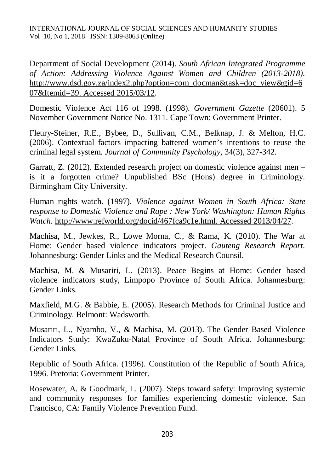Department of Social Development (2014). *South African Integrated Programme of Action: Addressing Violence Against Women and Children (2013-2018).*  [http://www.dsd.gov.za/index2.php?option=com\\_docman&task=doc\\_view&gid=6](http://www.dsd.gov.za/index2.php?option=com_docman&task=doc_view&gid=6) 07&Itemid=39. Accessed 2015/03/12*.*

Domestic Violence Act 116 of 1998. (1998). *Government Gazette* (20601). 5 November Government Notice No. 1311. Cape Town: Government Printer.

Fleury-Steiner, R.E., Bybee, D., Sullivan, C.M., Belknap, J. & Melton, H.C. (2006). Contextual factors impacting battered women's intentions to reuse the criminal legal system. *Journal of Community Psychology*, 34(3), 327-342.

Garratt, Z. (2012). Extended research project on domestic violence against men – is it a forgotten crime? Unpublished BSc (Hons) degree in Criminology. Birmingham City University.

Human rights watch. (1997). *Violence against Women in South Africa: State response to Domestic Violence and Rape : New York/ Washington: Human Rights Watch.* <http://www.refworld.org/docid/467fca9c1e.html.> Accessed 2013/04/27.

Machisa, M., Jewkes, R., Lowe Morna, C., & Rama, K. (2010). The War at Home: Gender based violence indicators project. *Gauteng Research Report*. Johannesburg: Gender Links and the Medical Research Counsil.

Machisa, M. & Musariri, L. (2013). Peace Begins at Home: Gender based violence indicators study, Limpopo Province of South Africa. Johannesburg: Gender Links.

Maxfield, M.G. & Babbie, E. (2005). Research Methods for Criminal Justice and Criminology. Belmont: Wadsworth.

Musariri, L., Nyambo, V., & Machisa, M. (2013). The Gender Based Violence Indicators Study: KwaZuku-Natal Province of South Africa. Johannesburg: Gender Links.

Republic of South Africa. (1996). Constitution of the Republic of South Africa, 1996. Pretoria: Government Printer.

Rosewater, A. & Goodmark, L. (2007). Steps toward safety: Improving systemic and community responses for families experiencing domestic violence. San Francisco, CA: Family Violence Prevention Fund.